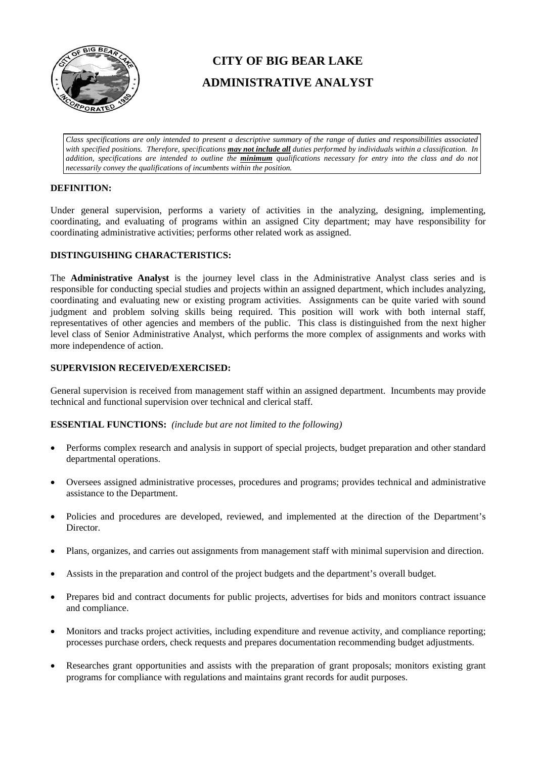

# **CITY OF BIG BEAR LAKE ADMINISTRATIVE ANALYST**

*Class specifications are only intended to present a descriptive summary of the range of duties and responsibilities associated with specified positions. Therefore, specifications may not include all duties performed by individuals within a classification. In addition, specifications are intended to outline the minimum qualifications necessary for entry into the class and do not necessarily convey the qualifications of incumbents within the position.*

# **DEFINITION:**

Under general supervision, performs a variety of activities in the analyzing, designing, implementing, coordinating, and evaluating of programs within an assigned City department; may have responsibility for coordinating administrative activities; performs other related work as assigned.

# **DISTINGUISHING CHARACTERISTICS:**

The **Administrative Analyst** is the journey level class in the Administrative Analyst class series and is responsible for conducting special studies and projects within an assigned department, which includes analyzing, coordinating and evaluating new or existing program activities. Assignments can be quite varied with sound judgment and problem solving skills being required. This position will work with both internal staff, representatives of other agencies and members of the public. This class is distinguished from the next higher level class of Senior Administrative Analyst, which performs the more complex of assignments and works with more independence of action.

## **SUPERVISION RECEIVED/EXERCISED:**

General supervision is received from management staff within an assigned department. Incumbents may provide technical and functional supervision over technical and clerical staff.

## **ESSENTIAL FUNCTIONS:** *(include but are not limited to the following)*

- Performs complex research and analysis in support of special projects, budget preparation and other standard departmental operations.
- Oversees assigned administrative processes, procedures and programs; provides technical and administrative assistance to the Department.
- Policies and procedures are developed, reviewed, and implemented at the direction of the Department's Director.
- Plans, organizes, and carries out assignments from management staff with minimal supervision and direction.
- Assists in the preparation and control of the project budgets and the department's overall budget.
- Prepares bid and contract documents for public projects, advertises for bids and monitors contract issuance and compliance.
- Monitors and tracks project activities, including expenditure and revenue activity, and compliance reporting; processes purchase orders, check requests and prepares documentation recommending budget adjustments.
- Researches grant opportunities and assists with the preparation of grant proposals; monitors existing grant programs for compliance with regulations and maintains grant records for audit purposes.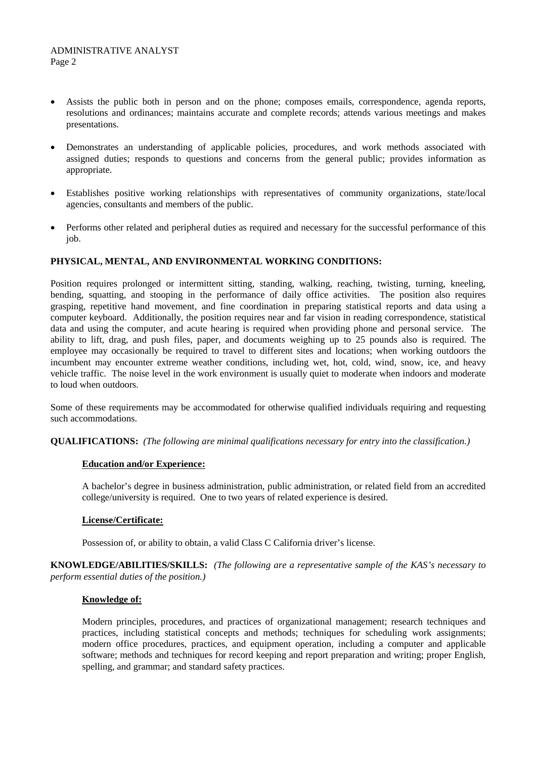- Assists the public both in person and on the phone; composes emails, correspondence, agenda reports, resolutions and ordinances; maintains accurate and complete records; attends various meetings and makes presentations.
- Demonstrates an understanding of applicable policies, procedures, and work methods associated with assigned duties; responds to questions and concerns from the general public; provides information as appropriate.
- Establishes positive working relationships with representatives of community organizations, state/local agencies, consultants and members of the public.
- Performs other related and peripheral duties as required and necessary for the successful performance of this job.

## **PHYSICAL, MENTAL, AND ENVIRONMENTAL WORKING CONDITIONS:**

Position requires prolonged or intermittent sitting, standing, walking, reaching, twisting, turning, kneeling, bending, squatting, and stooping in the performance of daily office activities. The position also requires grasping, repetitive hand movement, and fine coordination in preparing statistical reports and data using a computer keyboard. Additionally, the position requires near and far vision in reading correspondence, statistical data and using the computer, and acute hearing is required when providing phone and personal service. The ability to lift, drag, and push files, paper, and documents weighing up to 25 pounds also is required. The employee may occasionally be required to travel to different sites and locations; when working outdoors the incumbent may encounter extreme weather conditions, including wet, hot, cold, wind, snow, ice, and heavy vehicle traffic. The noise level in the work environment is usually quiet to moderate when indoors and moderate to loud when outdoors.

Some of these requirements may be accommodated for otherwise qualified individuals requiring and requesting such accommodations.

**QUALIFICATIONS:** *(The following are minimal qualifications necessary for entry into the classification.)*

#### **Education and/or Experience:**

A bachelor's degree in business administration, public administration, or related field from an accredited college/university is required. One to two years of related experience is desired.

#### **License/Certificate:**

Possession of, or ability to obtain, a valid Class C California driver's license.

**KNOWLEDGE/ABILITIES/SKILLS:** *(The following are a representative sample of the KAS's necessary to perform essential duties of the position.)*

## **Knowledge of:**

Modern principles, procedures, and practices of organizational management; research techniques and practices, including statistical concepts and methods; techniques for scheduling work assignments; modern office procedures, practices, and equipment operation, including a computer and applicable software; methods and techniques for record keeping and report preparation and writing; proper English, spelling, and grammar; and standard safety practices.